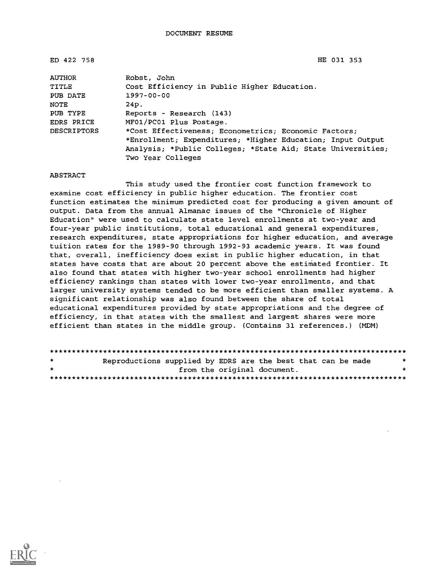ED 422 758 HE 031 353

| <b>AUTHOR</b>      | Robst, John                                                 |
|--------------------|-------------------------------------------------------------|
| TITLE              | Cost Efficiency in Public Higher Education.                 |
| PUB DATE           | 1997-00-00                                                  |
| NOTE               | 24p.                                                        |
| PUB TYPE           | Reports - Research (143)                                    |
| EDRS PRICE         | MF01/PC01 Plus Postage.                                     |
| <b>DESCRIPTORS</b> | *Cost Effectiveness; Econometrics; Economic Factors;        |
|                    | *Enrollment; Expenditures; *Higher Education; Input Output  |
|                    | Analysis; *Public Colleges; *State Aid; State Universities; |
|                    | Two Year Colleges                                           |

#### ABSTRACT

This study used the frontier cost function framework to examine cost efficiency in public higher education. The frontier cost function estimates the minimum predicted cost for producing a given amount of output. Data from the annual Almanac issues of the "Chronicle of Higher Education" were used to calculate state level enrollments at two-year and four-year public institutions, total educational and general expenditures, research expenditures, state appropriations for higher education, and average tuition rates for the 1989-90 through 1992-93 academic years. It was found that, overall, inefficiency does exist in public higher education, in that states have costs that are about 20 percent above the estimated frontier. It also found that states with higher two-year school enrollments had higher efficiency rankings than states with lower two-year enrollments, and that larger university systems tended to be more efficient than smaller systems. A significant relationship was also found between the share of total educational expenditures provided by state appropriations and the degree of efficiency, in that states with the smallest and largest shares were more efficient than states in the middle group. (Contains 31 references.) (MDM)

| $\star$ | Reproductions supplied by EDRS are the best that can be made |                             |  |  | - 10 |
|---------|--------------------------------------------------------------|-----------------------------|--|--|------|
| $\cdot$ |                                                              | from the original document. |  |  | *    |
|         |                                                              |                             |  |  |      |

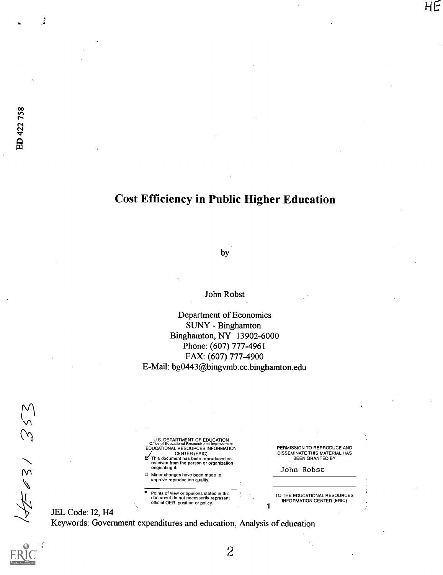ż

# Cost Efficiency in Public Higher Education

by

John Robst

Department of Economics SUNY - Binghamton Binghamton, NY 13902-6000 Phone: (607) 777-4961 FAX: (607) 777-4900 E-Mail: bg0443@bingymb.cc.binghamton.edu

2

 $352$  $45/$ 

| U.S. DEPARTMENT OF EDUCATION<br>Office of Educational Research and Improvement |  |
|--------------------------------------------------------------------------------|--|
| EDUCATIONAL RESOURCES INFORMATION                                              |  |
| <b>CENTER (ERIC)</b>                                                           |  |
| This document has been reproduced as                                           |  |
| received from the person or organization                                       |  |
| originating it.                                                                |  |

0 Minor changes have been made to improve reproduction quality.

Points of view or opinions stated in this document do not necessarily represent official OERI position or policy.

PERMISSION TO REPRODUCE AND DISSEMINATE THIS MATERIAL HAS BEEN GRANTED BY HE

John Robst

TO THE EDUCATIONAL RESOURCES INFORMATION CENTER (ERIC)

JEL Code: 12, H4 Keywords: Government expenditures and education, Analysis of education 1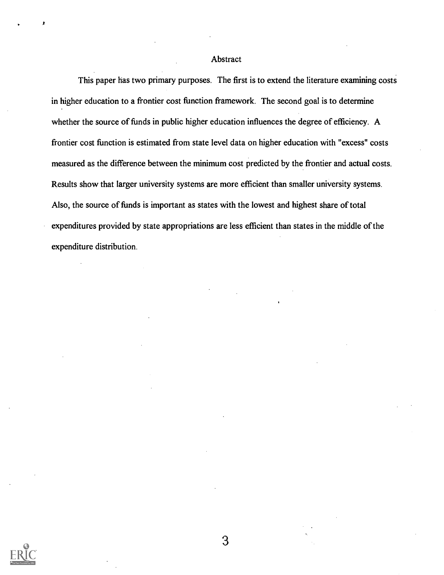#### Abstract

This paper has two primary purposes. The first is to extend the literature examining costs in higher education to a frontier cost function framework. The second goal is to determine whether the source of funds in public higher education influences the degree of efficiency. A frontier cost function is estimated from state level data on higher education with "excess" costs measured as the difference between the minimum cost predicted by the frontier and actual costs. Results show that larger university systems are more efficient than smaller university systems. Also, the source of funds is important as states with the lowest and highest share of total expenditures provided by state appropriations are less efficient than states in the middle of the expenditure distribution.

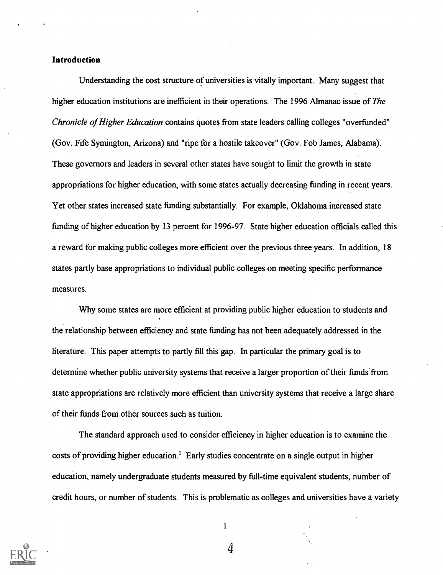#### Introduction

Understanding the cost structure of universities is vitally important. Many suggest that higher education institutions are inefficient in their operations. The 1996 Almanac issue of The Chronicle of Higher Education contains quotes from state leaders calling colleges "overfunded" (Gov. Fife Symington, Arizona) and "ripe for a hostile takeover" (Gov. Fob James, Alabama). These governors and leaders in several other states have sought to limit the growth in state appropriations for higher education, with some states actually decreasing funding in recent years. Yet other states increased state funding substantially. For example, Oklahoma increased state funding of higher education by 13 percent for 1996-97. State higher education officials called this a reward for making public colleges more efficient over the previous three years. In addition, 18 states partly base appropriations to individual public colleges on meeting specific performance measures.

Why some states are more efficient at providing public higher education to students and the relationship between efficiency and state funding has not been adequately addressed in the literature. This paper attempts to partly fill this gap. In particular the primary goal is to determine whether public university systems that receive a larger proportion of their funds from state appropriations are relatively more efficient than university systems that receive a large share of their funds from other sources such as tuition.

The standard approach used to consider efficiency in higher education is to examine the costs of providing higher education.' Early studies concentrate on a single output in higher education, namely undergraduate students measured by full-time equivalent students, number of credit hours, or number of students. This is problematic as colleges and universities have a variety



 $\mathbf{I}$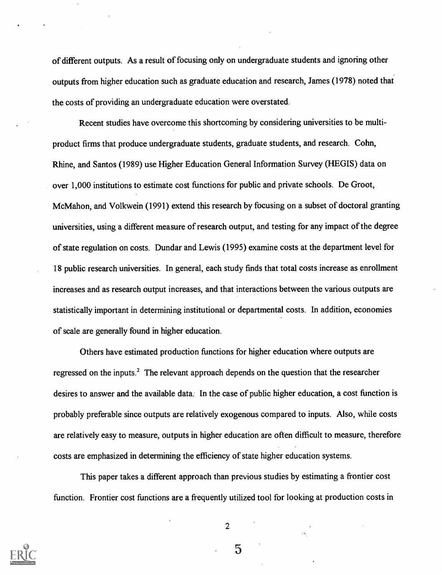of different outputs. As a result of focusing only on undergraduate students and ignoring other outputs from higher education such as graduate education and research, James (1978) noted that the costs of providing an undergraduate education were overstated.

Recent studies have overcome this shortcoming by considering universities to be multiproduct firms that produce undergraduate students, graduate students, and research. Cohn, Rhine, and Santos (1989) use Higher Education General Information Survey (HEGIS) data on over 1,000 institutions to estimate cost functions for public and private schools. De Groot, McMahon, and Volkwein (1991) extend this research by focusing on a subset of doctoral granting universities, using a different measure of research output, and testing for any impact of the degree of state regulation on costs. Dundar and Lewis (1995) examine costs at the department level for 18 public research universities. In general, each study finds that total costs increase as enrollment increases and as research output increases, and that interactions between the various outputs are statistically important in determining institutional or departmental costs. In addition, economies of scale are generally found in higher education.

Others have estimated production functions for higher education where outputs are regressed on the inputs.<sup>2</sup> The relevant approach depends on the question that the researcher desires to answer and the available data. In the case of public higher education, a cost function is probably preferable since outputs are relatively exogenous compared to inputs. Also, while costs are relatively easy to measure, outputs in higher education are often difficult to measure, therefore costs are emphasized in determining the efficiency of state higher education systems.

This paper takes a different approach than previous studies by estimating a frontier cost function. Frontier cost functions are a frequently utilized tool for looking at production costs in



2

 $\overline{5}$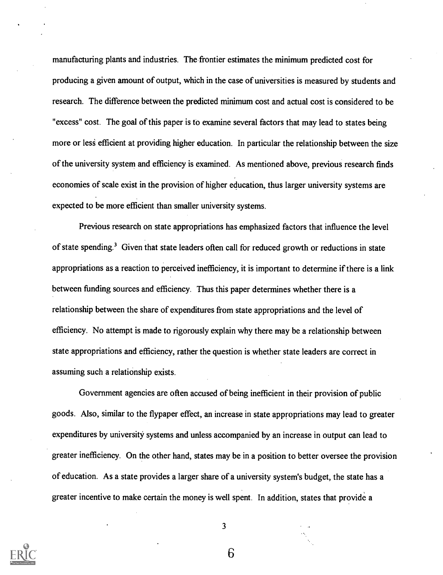manufacturing plants and industries. The frontier estimates the minimum predicted cost for producing a given amount of output, which in the case of universities is measured by students and research. The difference between the predicted minimum cost and actual cost is considered to be "excess" cost. The goal of this paper is to examine several factors that may lead to states being more or less efficient at providing higher education. In particular the relationship between the size of the university system and efficiency is examined. As mentioned above, previous research finds economies of scale exist in the provision of higher education, thus larger university systems are expected to be more efficient than smaller university systems.

Previous research on state appropriations has emphasized factors that influence the level of state spending.' Given that state leaders often call for reduced growth or reductions in state appropriations as a reaction to perceived inefficiency, it is important to determine if there is a link between funding sources and efficiency. Thus this paper determines whether there is a relationship between the share of expenditures from state appropriations and the level of efficiency. No attempt is made to rigorously explain why there may be a relationship between state appropriations and efficiency, rather the question is whether state leaders are correct in assuming such a relationship exists.

Government agencies are often accused of being inefficient in their provision of public goods. Also, similar to the flypaper effect, an increase in state appropriations may lead to greater expenditures by university systems and unless accompanied by an increase in output can lead to greater inefficiency. On the other hand, states may be in a position to better oversee the provision of education. As a state provides a larger share of a university system's budget, the state has a greater incentive to make certain the money is well spent. In addition, states that provide a



3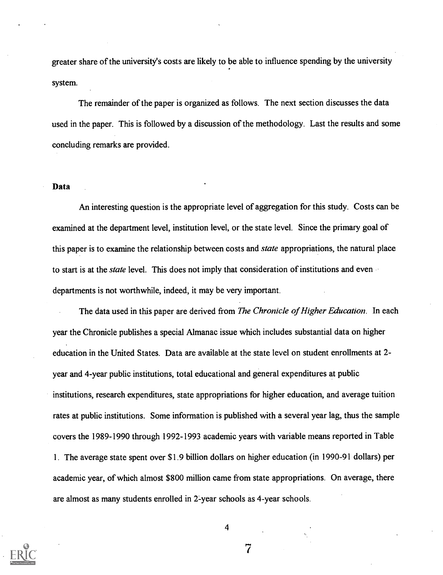greater share of the university's costs are likely to be able to influence spending by the university system.

The remainder of the paper is organized as follows. The next section discusses the data used in the paper. This is followed by a discussion of the methodology. Last the results and some concluding remarks are provided.

#### Data

An interesting question is the appropriate level of aggregation for this study. Costs can be examined at the department level, institution level, or the state level. Since the primary goal of this paper is to examine the relationship between costs and *state* appropriations, the natural place to start is at the *state* level. This does not imply that consideration of institutions and even departments is not worthwhile, indeed, it may be very important.

The data used in this paper are derived from The Chronicle of Higher Education. In each year the Chronicle publishes a special Almanac issue which includes substantial data on higher education in the United States. Data are available at the state level on student enrollments at 2 year and 4-year public institutions, total educational and general expenditures at public institutions, research expenditures, state appropriations for higher education, and average tuition rates at public institutions. Some information is published with a several year lag, thus the sample covers the 1989-1990 through 1992-1993 academic years with variable means reported in Table 1. The average state spent over \$1.9 billion dollars on higher education (in 1990-91 dollars) per academic year, of which almost \$800 million came from state appropriations. On average, there are almost as many students enrolled in 2.-year schools as 4-year schools.



4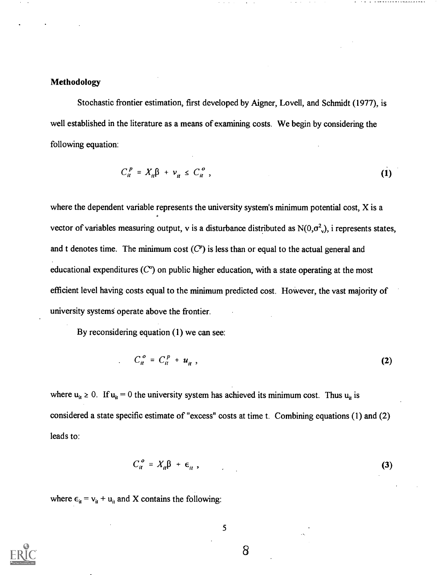### Methodology

Stochastic frontier estimation, first developed by Aigner, Lovell, and Schmidt (1977), is well established in the literature as a means of examining costs. We begin by considering the following equation:

$$
C_{it}^P = X_{it}\beta + \nu_{it} \le C_{it}^o \tag{1}
$$

where the dependent variable represents the university system's minimum potential cost, X is a vector of variables measuring output, v is a disturbance distributed as  $N(0,\sigma^2)$ , i represents states, and t denotes time. The minimum cost  $(C<sup>p</sup>)$  is less than or equal to the actual general and educational expenditures  $(C<sup>o</sup>)$  on public higher education, with a state operating at the most efficient level having costs equal to the minimum predicted cost. However, the vast majority of university systems operate above the frontier.

By reconsidering equation (1) we can see:

$$
C_{it}^o = C_{it}^p + u_{it} \tag{2}
$$

where  $u_{it} \ge 0$ . If  $u_{it} = 0$  the university system has achieved its minimum cost. Thus  $u_{it}$  is considered a state specific estimate of "excess" costs at time t. Combining equations (1) and (2) leads to:

$$
C_{it}^o = X_{it}\beta + \epsilon_{it} \t{,}
$$
 (3)

where  $\epsilon_{it} = v_{it} + u_{it}$  and X contains the following:

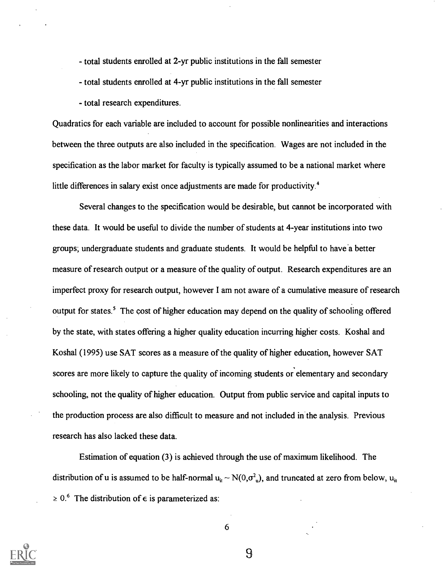- total students enrolled at 2-yr public institutions in the fall semester

total students enrolled at 4-yr public institutions in the fall semester

- total research expenditures.

Quadratics for each variable are included to account for possible nonlinearities and interactions between the three outputs are also included in the specification. Wages are not included in the specification as the labor market for faculty is typically assumed to be a national market where little differences in salary exist once adjustments are made for productivity.<sup>4</sup>

Several changes to the specification would be desirable, but cannot be incorporated with these data. It would be useful to divide the number of students at 4-year institutions into two groups; undergraduate students and graduate students. It would be helpful to have a better measure of research output or a measure of the quality of output. Research expenditures are an imperfect proxy for research output, however I am not aware of a cumulative measure of research output for states.' The cost of higher education may depend on the quality of schooling offered by the state, with states offering a higher quality education incurring higher costs. Koshal and Koshal (1995) use SAT scores as a measure of the quality of higher education, however SAT scores are more likely to capture the quality of incoming students or elementary and secondary schooling, not the quality of higher education. Output from public service and capital inputs to the production process are also difficult to measure and not included in the analysis. Previous research has also lacked these data.

Estimation of equation (3) is achieved through the use of maximum likelihood. The distribution of u is assumed to be half-normal  $u_{it} \sim N(0,\sigma^2 u)$ , and truncated at zero from below,  $u_{it}$  $\geq 0.6$  The distribution of  $\epsilon$  is parameterized as:

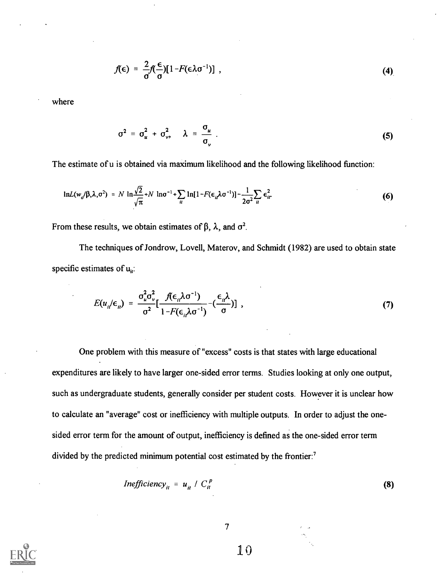$$
f(\epsilon) = \frac{2}{\sigma} f(\frac{\epsilon}{\sigma}) [1 - F(\epsilon \lambda \sigma^{-1})], \qquad (4)
$$

where

$$
\sigma^2 = \sigma_u^2 + \sigma_v^2, \quad \lambda = \frac{\sigma_u}{\sigma_v} \tag{5}
$$

The estimate of u is obtained via maximum likelihood and the following likelihood function:

$$
\ln L(w_o/\beta,\lambda,\sigma^2) = N \ln \frac{\sqrt{2}}{\sqrt{\pi}} + N \ln \sigma^{-1} + \sum_{ii} \ln[1 - F(\epsilon_{ii}\lambda\sigma^{-1})] - \frac{1}{2\sigma^2} \sum_{ii} \epsilon_{ii}^2
$$
 (6)

From these results, we obtain estimates of  $\beta$ ,  $\lambda$ , and  $\sigma^2$ .

The techniques of Jondrow, Lovell, Materov, and Schmidt (1982) are used to obtain state specific estimates of  $u_{ii}$ :

$$
E(u_{i}/\epsilon_{i}) = \frac{\sigma_{i}^{2} \sigma_{v}^{2}}{\sigma^{2}} \left[ \frac{f(\epsilon_{i}/\sigma^{-1})}{1 - F(\epsilon_{i}/\sigma^{-1})} - (\frac{\epsilon_{i}/\sigma}{\sigma}) \right] , \qquad (7)
$$

One problem with this measure of "excess" costs is that states with large educational expenditures are likely to have larger one-sided error terms. Studies looking at only one output, such as undergraduate students, generally consider per student costs. However it is unclear how to calculate an "average" cost or inefficiency with multiple outputs. In order to adjust the onesided error term for the amount of output, inefficiency is defined as the one-sided error term divided by the predicted minimum potential cost estimated by the frontier:<sup>7</sup>

$$
Inefficiency_{it} = u_{it} / C_{it}^{p}
$$
 (8)



 $\overline{7}$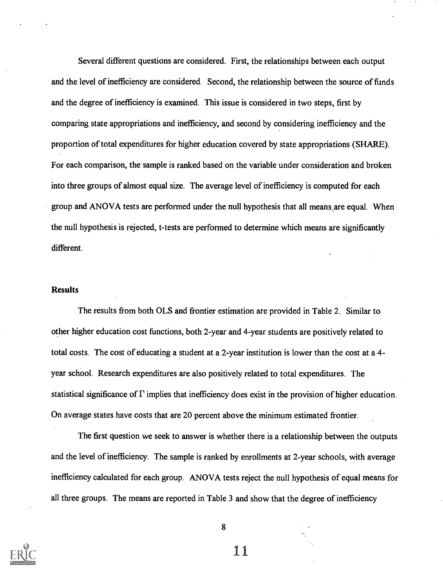Several different questions are considered. First, the relationships between each output and the level of inefficiency are considered. Second, the relationship between the source of funds and the degree of inefficiency is examined. This issue is considered in two steps, first by comparing state appropriations and inefficiency, and second by considering inefficiency and the proportion of total expenditures for higher education covered by state appropriations (SHARE). For each comparison, the sample is ranked based on the variable under consideration and broken into three groups of almost equal size. The average level of inefficiency is computed for each group and ANOVA tests are performed under the null hypothesis that all means\are equal. When the null hypothesis is rejected, t-tests are performed to determine which means are significantly different.

#### **Results**

The results from both OLS and frontier estimation are provided in Table 2. Similar to other higher education cost functions, both 2-year and 4-year students are positively related to total costs. The cost of educating a student at a 2-year institution is lower than the cost at a 4 year school. Research expenditures are also positively related to total expenditures. The statistical significance of  $\Gamma$  implies that inefficiency does exist in the provision of higher education. On average states have costs that are 20 percent above the minimum estimated frontier.

The first question we seek to answer is whether there is a relationship between the outputs and the level of inefficiency. The sample is ranked by enrollments at 2-year schools, with average inefficiency calculated for each group. ANOVA tests reject the null hypothesis of equal means for all three groups. The means are reported in Table 3 and show that the degree of inefficiency

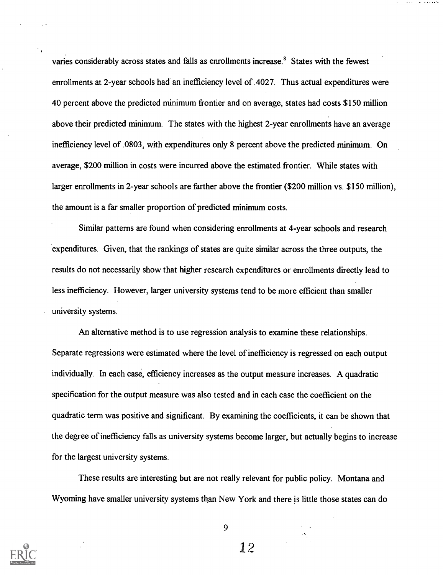varies considerably across states and falls as enrollments increase.<sup>8</sup> States with the fewest enrollments at 2-year schools had an inefficiency level of .4027. Thus actual expenditures were 40 percent above the predicted minimum frontier and on average, states had costs \$150 million above their predicted minimum. The states with the highest 2-year enrollments have an average inefficiency level of .0803, with expenditures only 8 percent above the predicted minimum. On average, \$200 million in costs were incurred above the estimated frontier. While states with larger enrollments in 2-year schools are farther above the frontier (\$200 million vs. \$150 million), the amount is a far smaller proportion of predicted minimum costs.

Similar patterns are found when considering enrollments at 4-year schools and research expenditures. Given, that the rankings of states are quite similar across the three outputs, the results do not necessarily show that higher research expenditures or enrollments directly lead to less inefficiency. However, larger university systems tend to be more efficient than smaller university systems.

An alternative method is to use regression analysis to examine these relationships. Separate regressions were estimated where the level of inefficiency is regressed on each output individually. In each case, efficiency increases as the output measure increases. A quadratic specification for the output measure was also tested and in each case the coefficient on the quadratic term was positive and significant. By examining the coefficients, it can be shown that the degree of inefficiency falls as university systems become larger, but actually begins to increase for the largest university systems.

These results are interesting but are not really relevant for public policy. Montana and Wyoming have smaller university systems than New York and there is little those states can do



9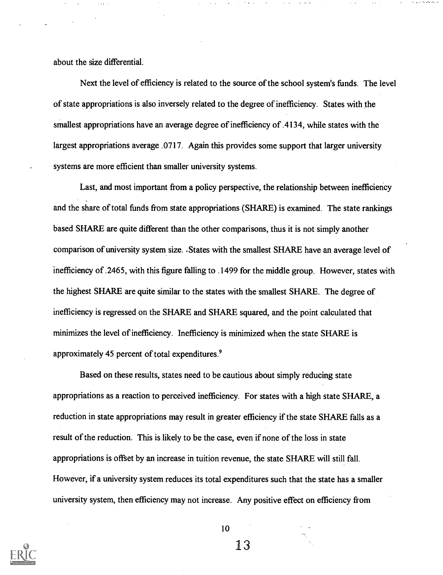about the size differential.

Next the level of efficiency is related to the source of the school system's funds. The level of state appropriations is also inversely related to the degree of inefficiency. States with the smallest appropriations have an average degree of inefficiency of .4134, while states with the largest appropriations average .0717. Again this provides some support that larger university systems are more efficient than smaller university systems.

Last, and most important from a policy perspective, the relationship between inefficiency and the share of total funds from state appropriations (SHARE) is examined. The state rankings based SHARE are quite different than the other comparisons, thus it is not simply another comparison of university system size. .States with the smallest SHARE have an average level of inefficiency of .2465, with this figure falling to .1499 for the middle group. However, states with the highest SHARE are quite similar to the states with the smallest SHARE. The degree of inefficiency is regressed on the SFIARE and SHARE squared, and the point calculated that minimizes the level of inefficiency. Inefficiency is minimized when the state SHARE is approximately 45 percent of total expenditures.<sup>9</sup>

Based on these results, states need to be cautious about simply reducing state appropriations as a reaction to perceived inefficiency. For states with a high state SHARE, a reduction in state appropriations may result in greater efficiency if the state SHARE falls as a result of the reduction. This is likely to be the case, even if none of the loss in state appropriations is offset by an increase in tuition revenue, the state SHARE will still fall. However, if a university system reduces its total expenditures such that the state has a smaller university system, then efficiency may not increase. Any positive effect on efficiency from



10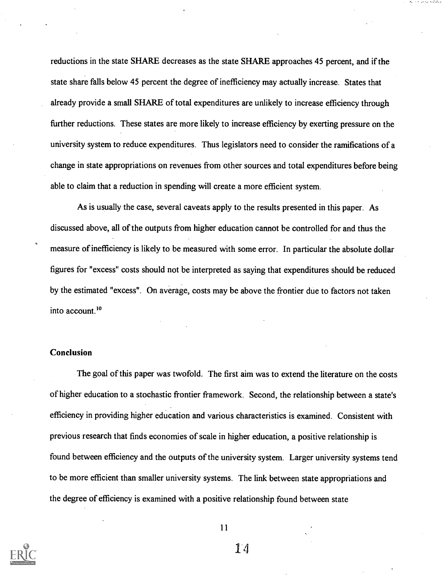reductions in the state SHARE decreases as the state SHARE approaches 45 percent, and if the state share falls below 45 percent the degree of inefficiency may actually increase. States that already provide a small SHARE of total expenditures are unlikely to increase efficiency through further reductions. These states are more likely to increase efficiency by exerting pressure on the university system to reduce expenditures. Thus legislators need to consider the ramifications of a change in state appropriations on revenues from other sources and total expenditures before being able to claim that a reduction in spending will create a more efficient system.

As is usually the case, several caveats apply to the results presented in this paper. As discussed above, all of the outputs from higher education cannot be controlled for and thus the measure of inefficiency is likely to be measured with some error. In particular the absolute dollar figures for "excess" costs should not be interpreted as saying that expenditures should be reduced by the estimated "excess". On average, costs may be above the frontier due to factors not taken into account.<sup>10</sup>

#### Conclusion

The goal of this paper was twofold. The first aim was to extend the literature on the costs of higher education to a stochastic frontier framework. Second, the relationship between a state's efficiency in providing higher education and various characteristics is examined. Consistent with previous research that finds economies of scale in higher education, a positive relationship is found between efficiency and the outputs of the university system. Larger university systems tend to be more efficient than smaller university systems. The link between state appropriations and the degree of efficiency is examined with a positive relationship found between state

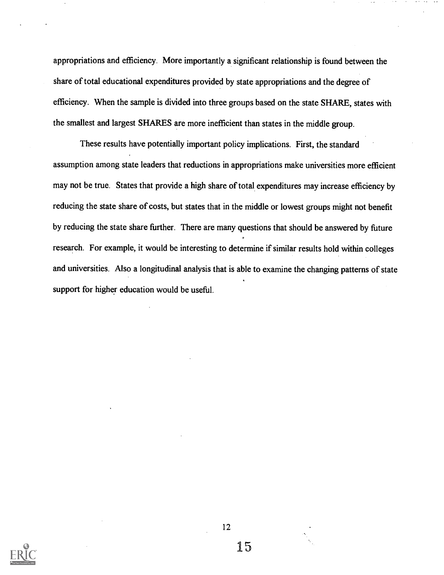appropriations and efficiency. More importantly a significant relationship is found between the share of total educational expenditures provided by state appropriations and the degree of efficiency. When the sample is divided into three groups based on the state SHARE, states with the smallest and largest SHARES are more inefficient than states in the middle group.

These results have potentially important policy implications. First, the standard assumption among state leaders that reductions in appropriations make universities more efficient may not be true. States that provide a high share of total expenditures may increase efficiency by reducing the state share of costs, but states that in the middle or lowest groups might not benefit by reducing the state share further. There are many questions that should be answered by future research. For example, it would be interesting to determine if similar results hold within colleges and universities. Also a longitudinal analysis that is able to examine the changing patterns of state support for higher education would be useful.



12

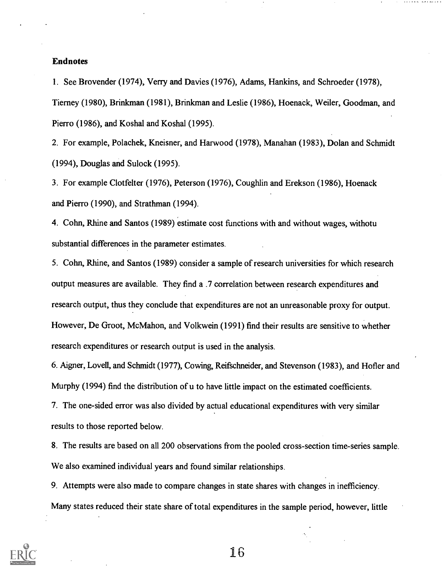#### Endnotes

1. See Brovender (1974), Verry and Davies (1976), Adams, Hankins, and Schroeder (1978), Tierney (1980), Brinkman (1981), Brinkman and Leslie (1986), Hoenack, Weiler, Goodman, and Pierro (1986), and Koshal and Koshal (1995).

2. For example, Polachek, Kneisner, and Harwood (1978), Manahan (1983), Dolan and Schmidt (1994), Douglas and Sulock (1995).

3. For example Clotfelter (1976), Peterson (1976), Coughlin and Erekson (1986), Hoenack and Pierro (1990), and Strathman (1994).

4. Cohn, Rhine and Santos (1989) estimate cost functions with and without wages, withotu substantial differences in the parameter estimates.

5. Cohn, Rhine, and Santos (1989) consider a sample of research universities for which research output measures are available. They find a .7 correlation between research expenditures and research output, thus they conclude that expenditures are not an unreasonable proxy for output. However, De Groot, McMahon, and Volkwein (1991) find their results are sensitive to whether research expenditures or research output is used in the analysis.

6. Aigner, Lovell, and Schmidt (1977), Cowing, Reifschneider, and Stevenson (1983), and Hofler and Murphy (1994) find the distribution of u to have little impact on the estimated coefficients.

7. The one-sided error was also divided by actual educational expenditures with very similar results to those reported below.

8. The results are based on all 200 observations from the pooled cross-section time-series sample. We also examined individual years and found similar relationships.

9. Attempts were also made to compare changes in state shares with changes in inefficiency. Many states reduced their state share of total expenditures in the sample period, however, little

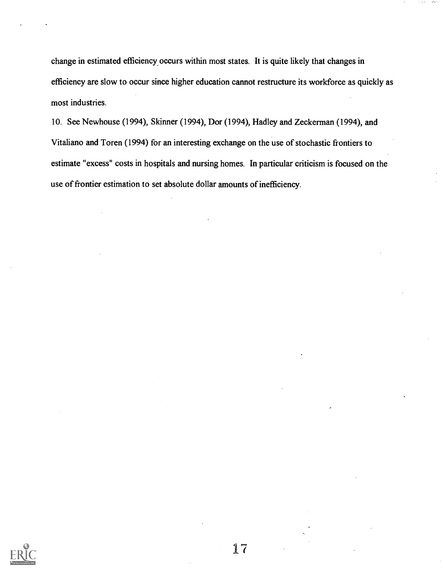change in estimated efficiency occurs within most states. It is quite likely that changes in efficiency are slow to occur since higher education cannot restructure its workforce as quickly as most industries.

10. See Newhouse (1994), Skinner (1994), Dor (1994), Hadley and Zeckerman (1994), and Vitaliano and Toren (1994) for an interesting exchange on the use of stochastic frontiers to estimate "excess" costs in hospitals and nursing homes. In particular criticism is focused on the use of frontier estimation to set absolute dollar amounts of inefficiency.

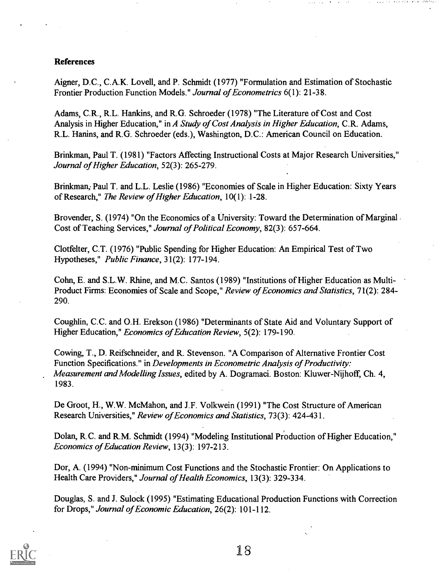#### References

Aigner, D.C., C.A.K. Lovell, and P. Schmidt (1977) "Formulation and Estimation of Stochastic Frontier Production Function Models." Journal of Econometrics 6(1): 21-38.

Adams, C.R., R.L. Hankins, and R.G. Schroeder (1978) "The Literature of Cost and Cost Analysis in Higher Education," in A Study of Cost Analysis in Higher Education, C.R. Adams, R.L. Hanins, and R.G. Schroeder (eds.), Washington, D.C.: American Council on Education.

Brinkman, Paul T. (1981) "Factors Affecting Instructional Costs at Major Research Universities," Journal of Higher Education, 52(3): 265-279.

Brinkman, Paul T. and L.L. Leslie (1986) "Economies of Scale in Higher Education: Sixty Years of Research," The Review of Higher Education,10(1): 1-28.

Brovender, S. (1974) "On the Economics of a University: Toward the Determination of Marginal. Cost of Teaching Services," Journal of Political Economy, 82(3): 657-664.

Clotfelter, C.T. (1976) "Public Spending for Higher Education: An Empirical Test of Two Hypotheses," Public Finance, 31(2): 177-194.

Cohn, E. and S.L.W. Rhine, and M.C. Santos (1989) "Institutions of Higher Education as Multi-Product Firms: Economies of Scale and Scope," Review of Economics and Statistics, 71(2): 284- 290.

Coughlin, C.C. and O.H. Erekson (1986) "Determinants of State Aid and Voluntary Support of Higher Education," Economics of Education Review, 5(2): 179-190.

Cowing, T., D. Reifschneider, and R. Stevenson. "A Comparison of Alternative Frontier Cost Function Specifications." in Developments in Econometric Analysis of Productivity: Measurement and Modelling Issues, edited by A. Dogramaci. Boston: Kluwer-Nijhoff, Ch. 4, 1983.

De Groot, H., W.W. McMahon, and J.F. Volkwein (1991) "The Cost Structure of American Research Universities," Review of Economics and Statistics, 73(3): 424-431.

Dolan, R.C. and R.M. Schmidt (1994) "Modeling Institutional Production of Higher Education," Economics of Education Review, 13(3): 197-213.

Dor, A. (1994) "Non-minimum Cost Functions and the Stochastic Frontier: On Applications to Health Care Providers," Journal of Health Economics, 13(3): 329-334.

Douglas, S. and J. Sulock (1995) "Estimating Educational Production Functions with Correction for Drops," Journal of Economic Education, 26(2): 101-112.

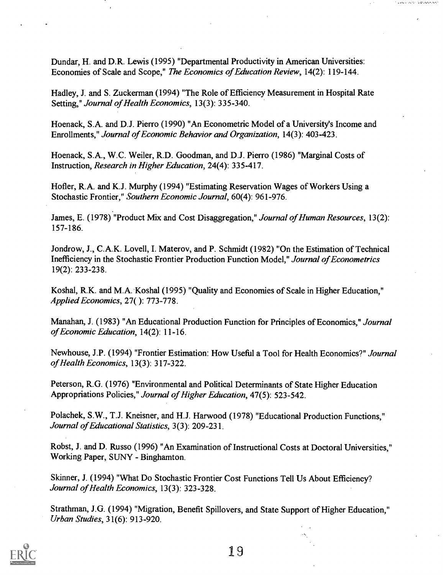Dundar, H. and D.R. Lewis (1995) "Departmental Productivity in American Universities: Economies of Scale and Scope," The Economics of Education Review, 14(2): 119-144.

.<br>Tanahasin'ilay kaominina dia kaominina mpikambana amin'ny fivondronan-kaominin'i Andre Carlos na Andre Carlos

Hadley, J. and S. Zuckerman (1994) "The Role of Efficiency Measurement in Hospital Rate Setting," Journal of Health Economics, 13(3): 335-340.

Hoenack, S.A. and D.J. Pierro (1990) "An Econometric Model of a University's Income and Enrollments," Journal of Economic Behavior and Organization, 14(3): 403-423.

Hoenack, S.A., W.C. Weiler, R.D. Goodman, and D.J. Pierro (1986) "Marginal Costs of Instruction, Research in Higher Education, 24(4): 335-417.

Hofler, R.A. and K.J. Murphy (1994) "Estimating Reservation Wages of Workers Using a Stochastic Frontier," Southern Economic Journal, 60(4): 961-976.

James, E. (1978) "Product Mix and Cost Disaggregation," Journal of Human Resources, 13(2): 157-186.

Jondrow, J., C.A.K. Lovell, I. Materov, and P. Schmidt (1982) "On the Estimation of Technical Inefficiency in the Stochastic Frontier Production Function Model," Journal of Econometrics 19(2): 233-238.

Koshal, R.K. and M.A. Koshal (1995) "Quality and Economies of Scale in Higher Education," Applied Economics, 27( ): 773-778.

Manahan, J. (1983) "An Educational Production Function for Principles of Economics," Journal of Economic Education, 14(2): 11-16.

Newhouse, J.P. (1994) "Frontier Estimation: How Useful a Tool for Health Economics?" Journal of Health Economics, 13(3): 317-322.

Peterson, R.G. (1976) "Environmental and Political Determinants of State Higher Education Appropriations Policies," Journal of Higher Education, 47(5): 523-542.

Polachek, S.W., T.J. Kneisner, and H.J. Harwood (1978) "Educational Production Functions," Journal of Educational Statistics, 3(3): 209-231.

Robst, J. and D. Russo (1996) "An Examination of Instructional Costs at Doctoral Universities," Working Paper, SUNY - Binghamton.

Skinner, J. (1994) "What Do Stochastic Frontier Cost Functions Tell Us About Efficiency? Journal of Health Economics, 13(3): 323-328.

Strathman, J.G. (1994) "Migration, Benefit Spillovers, and State Support of Higher Education," Urban Studies, 31(6): 913-920.

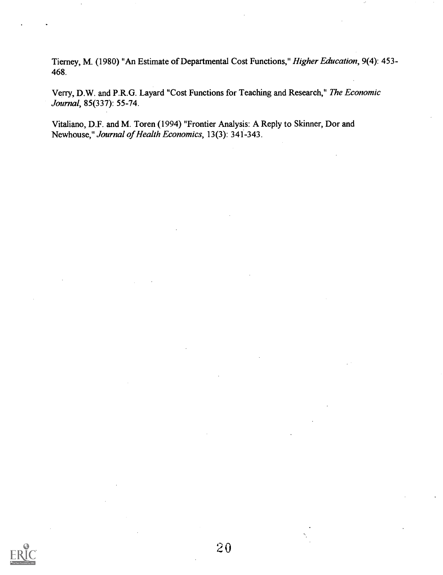Tierney, M. (1980) "An Estimate of Departmental Cost Functions," Higher Education, 9(4): 453- 468.

Verry, D.W. and P.R.G. Layard "Cost Functions for Teaching and Research," The Economic Journal, 85(337): 55-74.

Vitaliano, D.F. and M. Toren (1994) "Frontier Analysis: A Reply to Skinner, Dor and Newhouse," Journal of Health Economics, 13(3): 341-343.

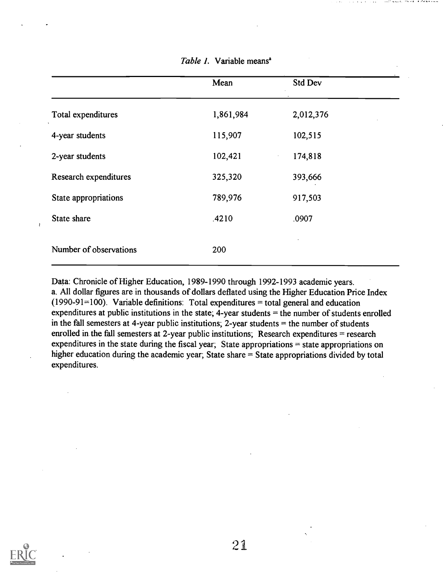|                        | Mean      | Std Dev   |  |
|------------------------|-----------|-----------|--|
| Total expenditures     | 1,861,984 | 2,012,376 |  |
| 4-year students        | 115,907   | 102,515   |  |
| 2-year students        | 102,421   | 174,818   |  |
| Research expenditures  | 325,320   | 393,666   |  |
| State appropriations   | 789,976   | 917,503   |  |
| State share            | .4210     | .0907     |  |
| Number of observations | 200       |           |  |

Table 1. Variable means<sup>a</sup>

Data: Chronicle of Higher Education, 1989-1990 through 1992-1993 academic years. a. All dollar figures are in thousands of dollars deflated using the Higher Education Price Index (1990-91=100). Variable definitions: Total expenditures  $=$  total general and education expenditures at public institutions in the state;  $\overline{4}$ -year students = the number of students enrolled in the fall semesters at 4-year public institutions;  $2$ -year students  $=$  the number of students enrolled in the fall semesters at 2-year public institutions; Research expenditures = research expenditures in the state during the fiscal year; State appropriations  $=$  state appropriations on higher education during the academic year; State share = State appropriations divided by total expenditures.



 $\overline{1}$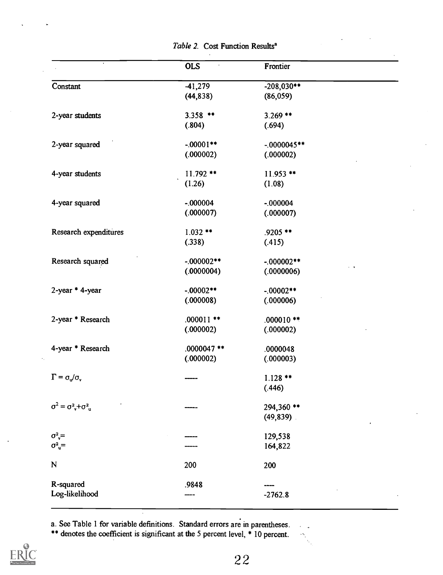|                                              | <b>OLS</b>    | Frontier      |  |
|----------------------------------------------|---------------|---------------|--|
| Constant                                     | $-41,279$     | $-208,030**$  |  |
|                                              | (44, 838)     | (86,059)      |  |
| 2-year students                              | $3.358$ **    | $3.269$ **    |  |
|                                              | (.804)        | (.694)        |  |
| 2-year squared                               | $-.00001**$   | $-0000045**$  |  |
|                                              | (.000002)     | (.000002)     |  |
| 4-year students                              | $11.792$ **   | $11.953$ **   |  |
|                                              | (1.26)        | (1.08)        |  |
| 4-year squared                               | $-.000004$    | $-.000004$    |  |
|                                              | (.000007)     | (.000007)     |  |
| Research expenditures                        | $1.032**$     | .9205 **      |  |
|                                              | (.338)        | (.415)        |  |
| Research squared                             | $-.000002**$  | $-000002**$   |  |
|                                              | (.0000004)    | (.0000006)    |  |
| 2-year * 4-year                              | $-.00002**$   | $-.00002**$   |  |
|                                              | (.000008)     | (.000006)     |  |
| 2-year * Research                            | $.000011$ **  | $.000010**$   |  |
|                                              | (.000002)     | (.000002)     |  |
| 4-year * Research                            | $.0000047$ ** | .0000048      |  |
|                                              | (.000002)     | (.000003)     |  |
| $\Gamma = \sigma_v / \sigma_v$               |               | $1.128$ **    |  |
|                                              |               | (.446)        |  |
| $\sigma^2 = \sigma_{\nu}^2 + \sigma_{\mu}^2$ |               | 294,360 **    |  |
|                                              |               | $(49, 839)$ . |  |
| $\sigma_v^2$                                 |               | 129,538       |  |
| $\sigma^2$ <sub>u</sub> =                    |               | 164,822       |  |
| N                                            | 200           | 200           |  |
| R-squared                                    | .9848         |               |  |
| Log-likelihood                               |               | $-2762.8$     |  |

Table 2. Cost Function Results<sup>a</sup>

a. See Table 1 for variable defmitions. Standard errors are in parentheses.

\*\* denotes the coefficient is significant at the 5 percent level, \* 10 percent.



 $\sim$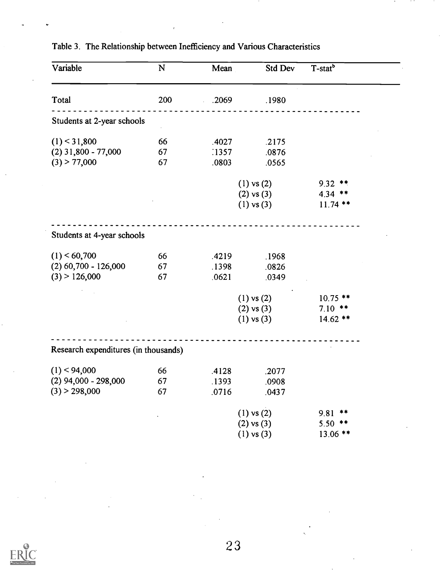| Variable                             | N   | Mean  | Std Dev        | T-stat <sup>b</sup> |
|--------------------------------------|-----|-------|----------------|---------------------|
| Total                                | 200 | .2069 | .1980          |                     |
| Students at 2-year schools           |     |       |                |                     |
| $(1)$ < 31,800                       | 66  | .4027 | .2175          |                     |
| $(2)$ 31,800 - 77,000                | 67  | :1357 | .0876          |                     |
| $(3)$ > 77,000                       | 67  | .0803 | .0565          |                     |
|                                      |     |       | $(1)$ vs $(2)$ | $9.32$ **           |
|                                      |     |       | $(2)$ vs $(3)$ | $4.34$ **           |
|                                      |     |       | $(1)$ vs $(3)$ | $11.74$ **          |
| Students at 4-year schools           |     |       |                |                     |
| $(1)$ < 60,700                       | 66  | .4219 | .1968          |                     |
| $(2)$ 60,700 - 126,000               | 67  | .1398 | .0826          |                     |
| $(3)$ > 126,000                      | 67  | .0621 | .0349          |                     |
|                                      |     |       | $(1)$ vs $(2)$ | $10.75$ **          |
|                                      |     |       | $(2)$ vs $(3)$ | $7.10$ **           |
|                                      |     |       | $(1)$ vs $(3)$ | $14.62**$           |
| Research expenditures (in thousands) |     |       |                |                     |
| $(1)$ < 94,000                       | 66  | .4128 | .2077          |                     |
| $(2)$ 94,000 - 298,000               | 67  | .1393 | .0908          |                     |
| (3) > 298,000                        | 67  | .0716 | .0437          |                     |
|                                      |     |       | $(1)$ vs $(2)$ | 9.81<br>**          |
|                                      |     |       | $(2)$ vs $(3)$ | $5.50$ **           |
|                                      |     |       | $(1)$ vs $(3)$ | $13.06$ **          |

## Table 3. The Relationship between Inefficiency and Various Characteristics

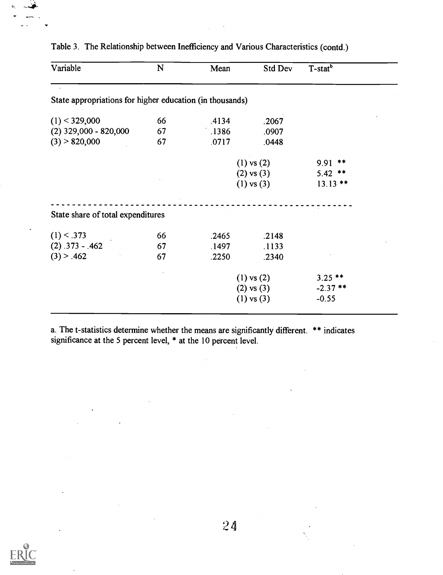| Variable                                                 | N  | Mean  | Std Dev        | T-stat <sup>b</sup> |
|----------------------------------------------------------|----|-------|----------------|---------------------|
| State appropriations for higher education (in thousands) |    |       |                |                     |
| $(1)$ < 329,000                                          | 66 | .4134 | .2067          |                     |
| $(2)$ 329,000 - 820,000                                  | 67 | .1386 | .0907          |                     |
| $(3)$ > 820,000                                          | 67 | .0717 | .0448          |                     |
|                                                          |    |       | $(1)$ vs $(2)$ | **<br>9.91          |
|                                                          |    |       | $(2)$ vs $(3)$ | $5.42$ **           |
|                                                          |    |       | $(1)$ vs $(3)$ | $13.13$ **          |
| State share of total expenditures                        |    |       |                |                     |
| $(1)$ < .373                                             | 66 | .2465 | .2148          |                     |
| $(2) .373 - .462$                                        | 67 | .1497 | .1133          |                     |
| (3) > .462                                               | 67 | .2250 | .2340          |                     |
|                                                          |    |       | $(1)$ vs $(2)$ | $3.25$ **           |
|                                                          |    |       | $(2)$ vs $(3)$ | $-2.37$ **          |
|                                                          |    |       | $(1)$ vs $(3)$ | $-0.55$             |

Table 3. The Relationship between Inefficiency and Various Characteristics (contd.)

a. The t-statistics determine whether the means are significantly different. \*\* indicates significance at the 5 percent level, \* at the 10 percent level.

 $\bar{z}$